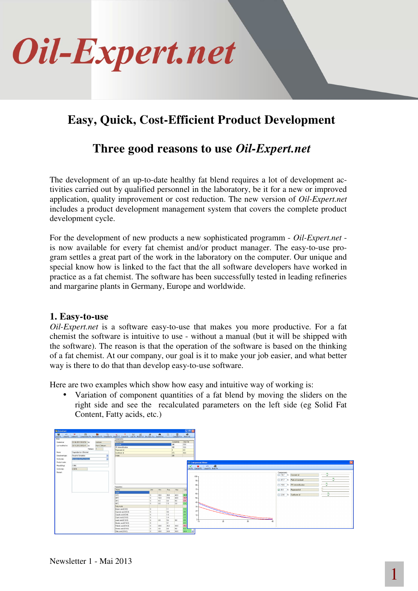

## **Easy, Quick, Cost-Efficient Product Development**

### **Three good reasons to use** *Oil-Expert.net*

The development of an up-to-date healthy fat blend requires a lot of development activities carried out by qualified personnel in the laboratory, be it for a new or improved application, quality improvement or cost reduction. The new version of *Oil-Expert.net* includes a product development management system that covers the complete product development cycle.

For the development of new products a new sophisticated programm - *Oil-Expert.net* is now available for every fat chemist and/or product manager. The easy-to-use program settles a great part of the work in the laboratory on the computer. Our unique and special know how is linked to the fact that the all software developers have worked in practice as a fat chemist. The software has been successfully tested in leading refineries and margarine plants in Germany, Europe and worldwide.

#### **1. Easy-to-use**

*Oil-Expert.net* is a software easy-to-use that makes you more productive. For a fat chemist the software is intuitive to use - without a manual (but it will be shipped with the software). The reason is that the operation of the software is based on the thinking of a fat chemist. At our company, our goal is it to make your job easier, and what better way is there to do that than develop easy-to-use software.

Here are two examples which show how easy and intuitive way of working is:

• Variation of component quantities of a fat blend by moving the sliders on the right side and see the recalculated parameters on the left side (eg Solid Fat Content, Fatty acids, etc.)

| Datasheet         |                                   |              |                                                                                                                                                          |           |      |      |            |          | F E                       |                                  |    |                 |                                  |
|-------------------|-----------------------------------|--------------|----------------------------------------------------------------------------------------------------------------------------------------------------------|-----------|------|------|------------|----------|---------------------------|----------------------------------|----|-----------------|----------------------------------|
|                   |                                   |              | SweFt Under P. Networks Components F4 Parameters F5 Templete F6 Unper F9 Concrete ColciF9 Maximi F10 Sm (Vpt. F11 Search F12 HTLL) Compare F14 Print F15 |           |      |      |            |          |                           |                                  |    |                 |                                  |
| <b>Nan</b>        |                                   |              | Components                                                                                                                                               |           |      |      |            |          |                           |                                  |    |                 |                                  |
|                   |                                   |              |                                                                                                                                                          |           |      |      | Concietely | Only Fat |                           |                                  |    |                 |                                  |
| Created on:       | 01.06.2011.09:32:54 by:           | conicon      | Component.<br><b>Buiteriat</b>                                                                                                                           |           |      |      | 248        | 29.8     |                           |                                  |    |                 |                                  |
| Last modified on: | 30.10.2012 08:52:41 by:           | Hans Culmann | PK Interestination                                                                                                                                       |           |      |      | 260        | 33.6     |                           |                                  |    |                 |                                  |
|                   | Release:                          |              | Rapereed oil                                                                                                                                             |           |      | n    |            | 0.0      |                           |                                  |    |                 |                                  |
| Name:             | Vegetable fat + Butterlat         |              | Sunfower of                                                                                                                                              |           |      |      | 272        | 36.6     |                           |                                  |    |                 |                                  |
| Datasheet type:   | Result of Simulation              |              | Water                                                                                                                                                    |           |      |      | 200        |          |                           |                                  |    |                 |                                  |
| Conformity:       | <b>Sinutetion (to Reg Values)</b> |              |                                                                                                                                                          |           |      |      |            |          |                           |                                  |    |                 |                                  |
| Product code:     |                                   |              |                                                                                                                                                          |           |      |      |            |          | <b>EE</b> Component Mixer |                                  |    |                 |                                  |
| Price (C/kg)      | 1.954                             |              |                                                                                                                                                          |           |      |      |            |          | $\times$ $\times$         | $\bullet$<br>$\mathbf{r}$        |    |                 |                                  |
| Conformity.       | 0.9976                            |              |                                                                                                                                                          |           |      |      |            |          |                           | OK F1 Cancel F2 Undo F3 Print F4 |    |                 |                                  |
| Renati:           |                                   |              |                                                                                                                                                          |           |      |      |            |          |                           |                                  |    |                 | Components                       |
|                   |                                   |              |                                                                                                                                                          |           |      |      |            |          |                           |                                  |    |                 | Ū<br>$187 - 2$ Coconut of        |
|                   |                                   |              |                                                                                                                                                          |           |      |      |            |          | $100 -$                   |                                  |    |                 |                                  |
|                   |                                   |              |                                                                                                                                                          |           |      |      |            |          | 50 <sub>1</sub>           |                                  |    |                 | $-41.7 \times$ Palm of standard  |
|                   |                                   |              |                                                                                                                                                          |           |      |      |            |          |                           |                                  |    |                 | $\overline{\phantom{a}}$         |
|                   |                                   |              | Parameters                                                                                                                                               |           |      |      |            |          | 80-                       |                                  |    |                 | T 16.6 % PK Interestification    |
|                   |                                   |              | Name                                                                                                                                                     | Unit      | Min. | Req  | Max        | Calc     | $70 -$                    |                                  |    |                 | $\boxed{v}$ 0.0 $z$ Repersend of |
|                   |                                   |              | Solido                                                                                                                                                   |           |      |      |            |          |                           |                                  |    |                 | ۰                                |
|                   |                                   |              | 10°C                                                                                                                                                     | ×         | 30.0 | 35.0 | 40.0       | 363      | 60-                       |                                  |    |                 | $23.0 \quad x$ Surflower of<br>v |
|                   |                                   |              | 20°C                                                                                                                                                     | $\propto$ | 14.0 | 17.0 | 20.0       | 787      | $50 -$                    |                                  |    |                 |                                  |
|                   |                                   |              | 30°C                                                                                                                                                     | $\propto$ | 40   | 6.0  | 8.0        | 69       |                           |                                  |    |                 |                                  |
|                   |                                   |              | 40°C                                                                                                                                                     | $\propto$ | 0.0  | 1.5  | 3.0        | 7d       | $40 -$                    |                                  |    |                 |                                  |
|                   |                                   |              | Fetty Acids                                                                                                                                              |           |      |      |            |          | 30 <sub>1</sub>           |                                  |    |                 |                                  |
|                   |                                   |              | Butvic acid (C4:0)                                                                                                                                       | ×         |      | 1.1  |            | 72       |                           |                                  |    |                 |                                  |
|                   |                                   |              | Capsonic acid (C6:0)                                                                                                                                     | x         |      | 0.6  |            | 06       | 20-                       |                                  |    |                 |                                  |
|                   |                                   |              | Capylic acid (CRO)                                                                                                                                       | ×         |      | 1.0  |            | 09       | 10 <sub>1</sub>           |                                  |    |                 |                                  |
|                   |                                   |              | Capic acid (C10:0)                                                                                                                                       | h.        |      | 1.4  |            | 7.9      |                           |                                  |    |                 |                                  |
|                   |                                   |              | Lauric acid (C12.0)                                                                                                                                      | $\propto$ | 3.0  | 5.2  | 80         | 50       | -10                       |                                  | Ż0 | 30 <sub>1</sub> |                                  |
|                   |                                   |              | Myristic acid (C14:0)                                                                                                                                    | $\infty$  |      | 5.1  |            | 4.9      |                           |                                  |    |                 |                                  |
|                   |                                   |              | Painific acid (C16:0)                                                                                                                                    | ×.        | 20.0 | 26.2 | 30.0       | 25.4     |                           |                                  |    |                 |                                  |
|                   |                                   |              | Steario acid (C18.0)                                                                                                                                     | $\infty$  | 30   | 6.0  | 80         | 5.9      |                           |                                  |    |                 |                                  |
|                   |                                   |              | Okic acid (C18.1)                                                                                                                                        | ×.        | 20.0 | 24.9 | 30.0       | 24.9     |                           |                                  |    |                 |                                  |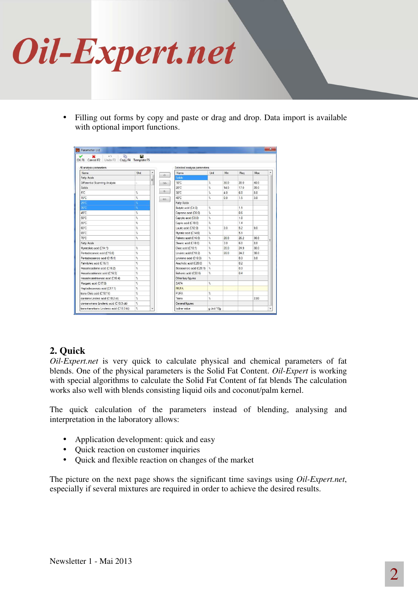

• Filling out forms by copy and paste or drag and drop. Data import is available with optional import functions.

| All analysis parameters                    | Selected analysis parameters |   |               |                          |                  |      |      |      |  |
|--------------------------------------------|------------------------------|---|---------------|--------------------------|------------------|------|------|------|--|
| Name.                                      | Unit                         |   | $\rightarrow$ | <b>Name</b>              | Unit             | Min  | Rea  | Max  |  |
| Fatty Acids                                |                              | Ξ |               | <b>Solids</b>            |                  |      |      |      |  |
| Differential Scanning Analyse              |                              |   | $\rightarrow$ | $10^{\circ}$ C           | $\%$             | 300  | 350  | 400  |  |
| Solids                                     |                              |   |               | 20°C                     | t,               | 14.0 | 17.0 | 200  |  |
| 5°C                                        | $\%$                         |   | ÷             | 30°C                     | $\gamma_{\rm e}$ | 4.0  | 6.0  | 80   |  |
| 15°C                                       | $\%$                         |   | $\ll$         | 40°C                     | z,               | 0.0  | 1.5  | 3.0  |  |
| 25°C                                       |                              |   |               | <b>Fatty Acids</b>       |                  |      |      |      |  |
| 35°C                                       | $\frac{1}{2}$                |   |               | Butyric acid (C4:0)      | ż,               |      | 1.1  |      |  |
| 45°C                                       | $\%$                         |   |               | Capronic acid (C6:0)     | r.               |      | 0.6  |      |  |
| 50°C                                       | K                            |   |               | Caprvlic acid (C8:0)     | ż,               |      | 1.0  |      |  |
| 55°C                                       | %                            |   |               | Capric acid (C10:0)      | Ŷ.               |      | 14   |      |  |
| 60°C                                       | K                            |   |               | Lauric acid (C12:0)      | ż,               | 30   | 52   | 9.0  |  |
| 65°C                                       | %                            |   |               | Myristic acid (C14:0)    | ž.               |      | 51   |      |  |
| 70°C                                       | $\%$                         |   |               | Palmitic acid (C16:0)    | t,               | 200  | 26.2 | 300  |  |
| Fatty Acids                                |                              |   |               | Stearic acid (C18:0)     | ż,               | 30   | 60   | 80   |  |
| Myristoleic acid (C14:1)                   | $\%$                         |   |               | Oleic acid (C18:1)       | t,               | 200  | 24.9 | 300  |  |
| Pentadecanoic acid (C15:0)                 | $\frac{1}{2}$                |   |               | Linoleic acid (C18:2)    | $\gamma_{\rm e}$ | 20.0 | 24.2 | 30.0 |  |
| Pentadecaenoic acid (C15:1)                | $\%$                         |   |               | Linolenic acid (C18:3)   | t,               |      | 0.3  | 3.0  |  |
| Palmitoleic acid (C16:1)                   | $\%$                         |   |               | Arachidic acid (C20:0)   | $\gamma_{\rm e}$ |      | 0.2  |      |  |
| Hexadecadienoi acid (C16:2)                | $\%$                         |   |               | Eicosaenoic acid (C20:1) | ž,               |      | 0.3  |      |  |
| Hexadecatrienoic acid (C16:3)              | %                            |   |               | Behenic acid (C22:0)     | ż.               |      | 0.4  |      |  |
| Hexadecatetraenoic acid (C16:4)            | %                            |   |               | Other key figures        |                  |      |      |      |  |
| Margaric acid (C17:0)                      | %                            |   |               | <b>SAFA</b>              | r.               |      |      |      |  |
| Heptadecaenoic acid (C17:1)                | $\%$                         |   |               | <b>MUFA</b>              |                  |      |      |      |  |
| trans-Oleic acid (C18:1t)                  | %                            |   |               | PUFA                     | r.               |      |      |      |  |
| cis-trans-Linoleic acid (C18:2 ct)         | %                            |   |               | Trans                    | ž.               |      |      | 2.00 |  |
| cis-trans-trans Linolenic acid (C18:3 ctt) | %                            |   |               | General figures          |                  |      |      |      |  |

### **2. Quick**

*Oil-Expert.net* is very quick to calculate physical and chemical parameters of fat blends. One of the physical parameters is the Solid Fat Content. *Oil-Expert* is working with special algorithms to calculate the Solid Fat Content of fat blends The calculation works also well with blends consisting liquid oils and coconut/palm kernel.

The quick calculation of the parameters instead of blending, analysing and interpretation in the laboratory allows:

- Application development: quick and easy
- Quick reaction on customer inquiries
- Quick and flexible reaction on changes of the market

The picture on the next page shows the significant time savings using *Oil-Expert.net*, especially if several mixtures are required in order to achieve the desired results.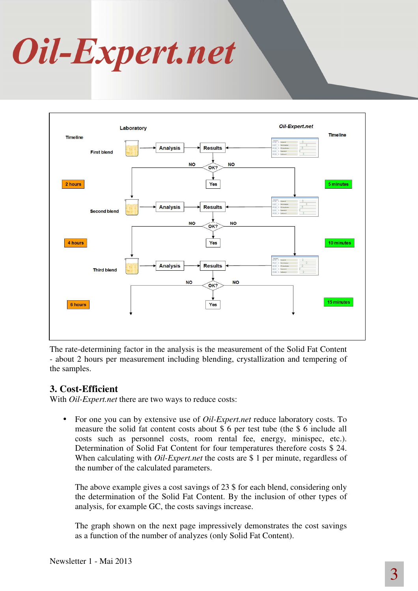# Oil-Expert.net



The rate-determining factor in the analysis is the measurement of the Solid Fat Content - about 2 hours per measurement including blending, crystallization and tempering of the samples.

#### **3. Cost-Efficient**

With *Oil-Expert.net* there are two ways to reduce costs:

• For one you can by extensive use of *Oil-Expert.net* reduce laboratory costs. To measure the solid fat content costs about \$ 6 per test tube (the \$ 6 include all costs such as personnel costs, room rental fee, energy, minispec, etc.). Determination of Solid Fat Content for four temperatures therefore costs \$ 24. When calculating with *Oil-Expert.net* the costs are \$1 per minute, regardless of the number of the calculated parameters.

The above example gives a cost savings of 23 \$ for each blend, considering only the determination of the Solid Fat Content. By the inclusion of other types of analysis, for example GC, the costs savings increase.

The graph shown on the next page impressively demonstrates the cost savings as a function of the number of analyzes (only Solid Fat Content).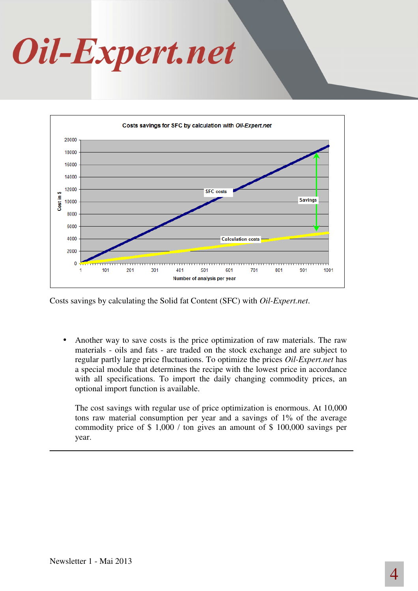# Oil-Expert.net



Costs savings by calculating the Solid fat Content (SFC) with *Oil-Expert.net*.

• Another way to save costs is the price optimization of raw materials. The raw materials - oils and fats - are traded on the stock exchange and are subject to regular partly large price fluctuations. To optimize the prices *Oil-Expert.net* has a special module that determines the recipe with the lowest price in accordance with all specifications. To import the daily changing commodity prices, an optional import function is available.

The cost savings with regular use of price optimization is enormous. At 10,000 tons raw material consumption per year and a savings of 1% of the average commodity price of \$ 1,000 / ton gives an amount of \$ 100,000 savings per year.